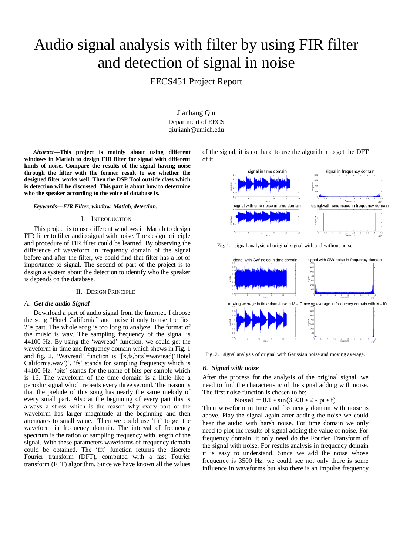# Audio signal analysis with filter by using FIR filter and detection of signal in noise

EECS451 Project Report

Jianhang Qiu Department of EECS qiujianh@umich.edu

*Abstract***—This project is mainly about using different windows in Matlab to design FIR filter for signal with different kinds of noise. Compare the results of the signal having noise through the filter with the former result to see whether the designed filter works well. Then the DSP Tool outside class which is detection will be discussed. This part is about how to determine who the speaker according to the voice of database is.**

#### *Keywords—FIR Filter, window, Matlab, detection.*

## I. INTRODUCTION

This project is to use different windows in Matlab to design FIR filter to filter audio signal with noise. The design principle and procedure of FIR filter could be learned. By observing the difference of waveform in frequency domain of the signal before and after the filter, we could find that filter has a lot of importance to signal. The second of part of the project is to design a system about the detection to identify who the speaker is depends on the database.

## II. DESIGN PRINCIPLE

## *A. Get the audio Signal*

Download a part of audio signal from the Internet. I choose the song "Hotel California" and incise it only to use the first 20s part. The whole song is too long to analyze. The format of the music is wav. The sampling frequency of the signal is 44100 Hz. By using the 'wavread' function, we could get the waveform in time and frequency domain which shows in Fig. 1 and fig. 2. 'Wavread' function is '[x,fs,bits]=wavread('Hotel California.wav')'. 'fs' stands for sampling frequency which is 44100 Hz. 'bits' stands for the name of bits per sample which is 16. The waveform of the time domain is a little like a periodic signal which repeats every three second. The reason is that the prelude of this song has nearly the same melody of every small part. Also at the beginning of every part this is always a stress which is the reason why every part of the waveform has larger magnitude at the beginning and then attenuates to small value. Then we could use 'fft' to get the waveform in frequency domain. The interval of frequency spectrum is the ration of sampling frequency with length of the signal. With these parameters waveforms of frequency domain could be obtained. The 'fft' function returns the discrete Fourier transform (DFT), computed with a fast Fourier transform (FFT) algorithm. Since we have known all the values

of the signal, it is not hard to use the algorithm to get the DFT of it.







Fig. 2. signal analysis of orignal with Gaussian noise and moving average.

#### *B. Signal with noise*

After the process for the analysis of the original signal, we need to find the characteristic of the signal adding with noise. The first noise function is chosen to be:

$$
Noise1 = 0.1 * sin(3500 * 2 * pi * t)
$$

Then waveform in time and frequency domain with noise is above. Play the signal again after adding the noise we could hear the audio with harsh noise. For time domain we only need to plot the results of signal adding the value of noise. For frequency domain, it only need do the Fourier Transform of the signal with noise. For results analysis in frequency domain it is easy to understand. Since we add the noise whose frequency is 3500 Hz, we could see not only there is some influence in waveforms but also there is an impulse frequency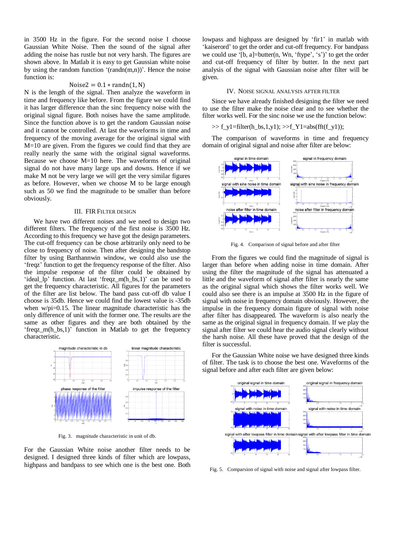in 3500 Hz in the figure. For the second noise I choose Gaussian White Noise. Then the sound of the signal after adding the noise has rustle but not very harsh. The figures are shown above. In Matlab it is easy to get Gaussian white noise by using the random function '(randn(m,n))'. Hence the noise function is:

## Noise2 =  $0.1 * \text{randn}(1, N)$

N is the length of the signal. Then analyze the waveform in time and frequency like before. From the figure we could find it has larger difference than the sinc frequency noise with the original signal figure. Both noises have the same amplitude. Since the function above is to get the random Gaussian noise and it cannot be controlled. At last the waveforms in time and frequency of the moving average for the original signal with M=10 are given. From the figures we could find that they are really nearly the same with the original signal waveforms. Because we choose  $M=10$  here. The waveforms of original signal do not have many large ups and downs. Hence if we make M not be very large we will get the very similar figures as before. However, when we choose M to be large enough such as 50 we find the magnitude to be smaller than before obviously.

### III. FIR FILTER DESIGN

We have two different noises and we need to design two different filters. The frequency of the first noise is 3500 Hz. According to this frequency we have got the design parameters. The cut-off frequency can be chose arbitrarily only need to be close to frequency of noise. Then after designing the bandstop filter by using Barthannwin window, we could also use the 'freqz' function to get the frequency response of the filter. Also the impulse response of the filter could be obtained by 'ideal\_lp' function. At last 'freqz\_m(h\_bs,1)' can be used to get the frequency characteristic. All figures for the parameters of the filter are list below. The band pass cut-off db value I choose is 35db. Hence we could find the lowest value is -35db when w/pi=0.15. The linear magnitude characteristic has the only difference of unit with the former one. The results are the same as other figures and they are both obtained by the 'freqz\_m(h\_bs,1)' function in Matlab to get the frequency characteristic.



Fig. 3. magnitude characteristic in unit of db.

For the Gaussian White noise another filter needs to be designed. I designed three kinds of filter which are lowpass, highpass and bandpass to see which one is the best one. Both lowpass and highpass are designed by 'fir1' in matlab with 'kaiserord' to get the order and cut-off frequency. For bandpass we could use '[b, a]=butter(n, Wn, 'ftype', 's')' to get the order and cut-off frequency of filter by butter. In the next part analysis of the signal with Gaussian noise after filter will be given.

#### IV. NOISE SIGNAL ANALYSIS AFTER FILTER

Since we have already finished designing the filter we need to use the filter make the noise clear and to see whether the filter works well. For the sinc noise we use the function below:

 $>> f_y1=filter(h_b,1,y1); >> f_y1=abs(fft(f_y1));$ 

The comparison of waveforms in time and frequency domain of original signal and noise after filter are below:



Fig. 4. Comparison of signal before and after filter

From the figures we could find the magnitude of signal is larger than before when adding noise in time domain. After using the filter the magnitude of the signal has attenuated a little and the waveform of signal after filter is nearly the same as the original signal which shows the filter works well. We could also see there is an impulse at 3500 Hz in the figure of signal with noise in frequency domain obviously. However, the impulse in the frequency domain figure of signal with noise after filter has disappeared. The waveform is also nearly the same as the original signal in frequency domain. If we play the signal after filter we could hear the audio signal clearly without the harsh noise. All these have proved that the design of the filter is successful.

For the Gaussian White noise we have designed three kinds of filter. The task is to choose the best one. Waveforms of the signal before and after each filter are given below:



Fig. 5. Comparsion of signal with noise and signal after lowpass filter.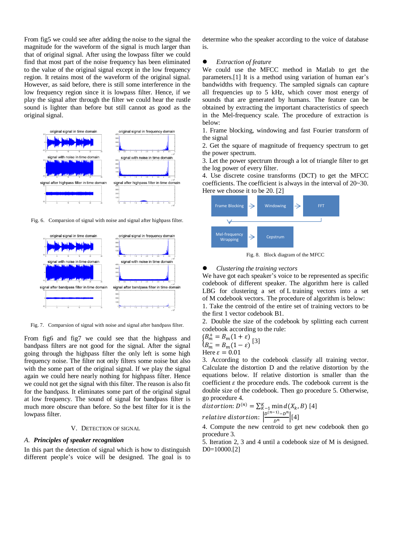From fig5 we could see after adding the noise to the signal the magnitude for the waveform of the signal is much larger than that of original signal. After using the lowpass filter we could find that most part of the noise frequency has been eliminated to the value of the original signal except in the low frequency region. It retains most of the waveform of the original signal. However, as said before, there is still some interference in the low frequency region since it is lowpass filter. Hence, if we play the signal after through the filter we could hear the rustle sound is lighter than before but still cannot as good as the original signal.



Fig. 6. Comparsion of signal with noise and signal after highpass filter.



Fig. 7. Comparsion of signal with noise and signal after bandpass filter.

From fig6 and fig7 we could see that the highpass and bandpass filters are not good for the signal. After the signal going through the highpass filter the only left is some high frequency noise. The filter not only filters some noise but also with the some part of the original signal. If we play the signal again we could here nearly nothing for highpass filter. Hence we could not get the signal with this filter. The reason is also fit for the bandpass. It eliminates some part of the original signal at low frequency. The sound of signal for bandpass filter is much more obscure than before. So the best filter for it is the lowpass filter.

## V. DETECTION OF SIGNAL

## *A. Principles of speaker recognition*

In this part the detection of signal which is how to distinguish different people's voice will be designed. The goal is to

determine who the speaker according to the voice of database is.

## *Extraction of feature*

We could use the MFCC method in Matlab to get the parameters.[1] It is a method using variation of human ear's bandwidths with frequency. The sampled signals can capture all frequencies up to 5 kHz, which cover most energy of sounds that are generated by humans. The feature can be obtained by extracting the important characteristics of speech in the Mel-frequency scale. The procedure of extraction is below:

1. Frame blocking, windowing and fast Fourier transform of the signal

2. Get the square of magnitude of frequency spectrum to get the power spectrum.

3. Let the power spectrum through a lot of triangle filter to get the log power of every filter.

4. Use discrete cosine transforms (DCT) to get the MFCC coefficients. The coefficient is always in the interval of 20~30. Here we choose it to be 20. [2]



Fig. 8. Block diagram of the MFCC

## *Clustering the training vectors*

We have got each speaker's voice to be represented as specific codebook of different speaker. The algorithm here is called LBG for clustering a set of L training vectors into a set of M codebook vectors. The procedure of algorithm is below: 1. Take the centroid of the entire set of training vectors to be the first 1 vector codebook B1.

2. Double the size of the codebook by splitting each current codebook according to the rule:

$$
\begin{cases}\nB_m^+ = B_m(1 + \varepsilon) \\
B_m^- = B_m(1 - \varepsilon)\n\end{cases}
$$
\nHere  $\varepsilon = 0.01$ 

3. According to the codebook classify all training vector. Calculate the distortion D and the relative distortion by the equations below. If relative distortion is smaller than the coefficient  $\varepsilon$  the procedure ends. The codebook current is the double size of the codebook. Then go procedure 5. Otherwise, go procedure 4.

$$
distortion: D(n) = \sum_{K-1}^{K} \min d(X_k, B)
$$
 [4]  
relative distortion:  $\frac{|D^{(n-1)} - D^n|}{|A|}$ 

retative atstortion: |  $n<sup>n</sup>$ -lr., 4. Compute the new centroid to get new codebook then go procedure 3.

5. Iteration 2, 3 and 4 until a codebook size of M is designed. D0=10000.[2]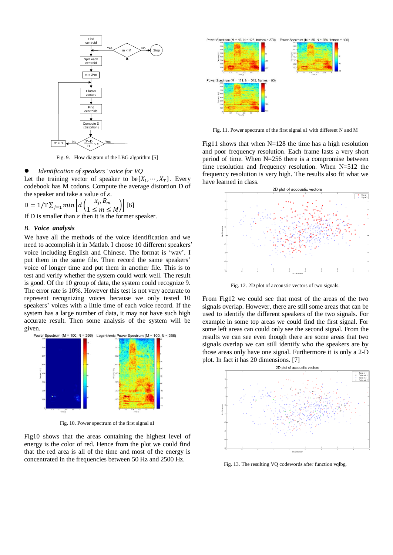

Fig. 9. Flow diagram of the LBG algorithm [5]

*Identification of speakers' voice for VQ*

Let the training vector of speaker to be  $\{X_1, \dots, X_T\}$ . Every codebook has M codons. Compute the average distortion D of the speaker and take a value of  $\varepsilon$ .

$$
D = 1/T \sum_{j=1}^{\infty} min \left[ d \left( \frac{x_j, B_m}{1 \le m \le M} \right) \right] [6]
$$

If D is smaller than  $\varepsilon$  then it is the former speaker.

# *B. Voice analysis*

We have all the methods of the voice identification and we need to accomplish it in Matlab. I choose 10 different speakers' voice including English and Chinese. The format is 'wav'. I put them in the same file. Then record the same speakers' voice of longer time and put them in another file. This is to test and verify whether the system could work well. The result is good. Of the 10 group of data, the system could recognize 9. The error rate is 10%. However this test is not very accurate to represent recognizing voices because we only tested 10 speakers' voices with a little time of each voice record. If the system has a large number of data, it may not have such high accurate result. Then some analysis of the system will be given.



Fig. 10. Power spectrum of the first signal s1

Fig10 shows that the areas containing the highest level of energy is the color of red. Hence from the plot we could find that the red area is all of the time and most of the energy is concentrated in the frequencies between 50 Hz and 2500 Hz.



Fig. 11. Power spectrum of the first signal s1 with different N and M

Fig11 shows that when  $N=128$  the time has a high resolution and poor frequency resolution. Each frame lasts a very short period of time. When N=256 there is a compromise between time resolution and frequency resolution. When N=512 the frequency resolution is very high. The results also fit what we have learned in class.



Fig. 12. 2D plot of accoustic vectors of two signals.

From Fig12 we could see that most of the areas of the two signals overlap. However, there are still some areas that can be used to identify the different speakers of the two signals. For example in some top areas we could find the first signal. For some left areas can could only see the second signal. From the results we can see even though there are some areas that two signals overlap we can still identify who the speakers are by those areas only have one signal. Furthermore it is only a 2-D plot. In fact it has 20 dimensions. [7]



Fig. 13. The resulting VQ codewords after function vqlbg.